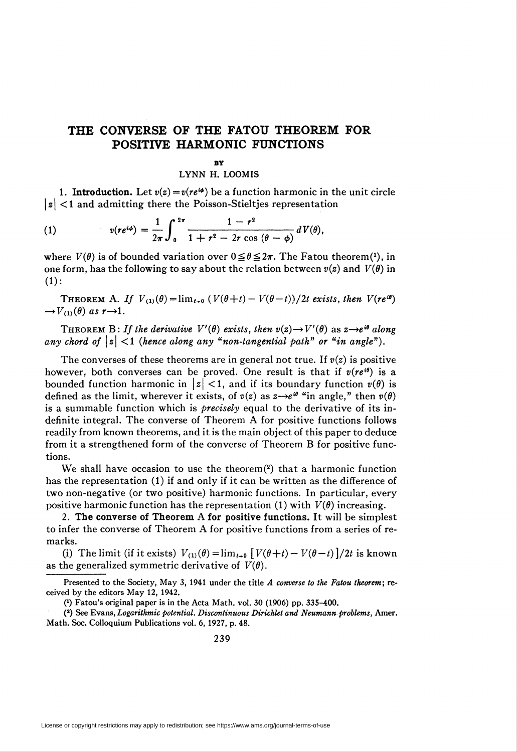## THE CONVERSE OF THE FATOU THEOREM FOR POSITIVE HARMONIC FUNCTIONS

## by

## LYNN H. LOOMIS

1. **Introduction.** Let  $v(z) = v(re^{i\phi})$  be a function harmonic in the unit circle  $|z|$  < 1 and admitting there the Poisson-Stieltjes representation

(1) 
$$
v(re^{i\phi}) = \frac{1}{2\pi}\int_0^{2\pi} \frac{1-r^2}{1+r^2-2r\cos(\theta-\phi)}dV(\theta),
$$

where  $V(\theta)$  is of bounded variation over  $0 \le \theta \le 2\pi$ . The Fatou theorem<sup>(1)</sup>, in one form, has the following to say about the relation between  $v(z)$  and  $V(\theta)$  in  $(1):$ 

THEOREM A. If  $V_{(1)}(\theta) = \lim_{t \to 0} (V(\theta + t) - V(\theta - t))/2t$  exists, then  $V(re^{i\theta})$  $\rightarrow V_{(1)}(\theta)$  as  $r \rightarrow 1$ .

THEOREM B: If the derivative  $V'(\theta)$  exists, then  $v(z) \rightarrow V'(\theta)$  as  $z \rightarrow e^{i\theta}$  along any chord of  $|z|$  <1 (hence along any "non-tangential path" or "in angle").

The converses of these theorems are in general not true. If  $v(z)$  is positive however, both converses can be proved. One result is that if  $v(re^{i\theta})$  is a bounded function harmonic in  $|z| < 1$ , and if its boundary function  $v(\theta)$  is defined as the limit, wherever it exists, of  $v(z)$  as  $z \rightarrow e^{i\theta}$  "in angle," then  $v(\theta)$ is a summable function which is *precisely* equal to the derivative of its indefinite integral. The converse of Theorem A for positive functions follows readily from known theorems, and it is the main object of this paper to deduce from it a strengthened form of the converse of Theorem B for positive functions.

We shall have occasion to use the theorem<sup>(2)</sup> that a harmonic function has the representation (1) if and only if it can be written as the difference of two non-negative (or two positive) harmonic functions. In particular, every positive harmonic function has the representation (1) with  $V(\theta)$  increasing.

2. The converse of Theorem A for positive functions. It will be simplest to infer the converse of Theorem A for positive functions from a series of remarks.

(i) The limit (if it exists)  $V_{(1)}(\theta) = \lim_{t \to 0} \left[ V(\theta + t) - V(\theta - t) \right] / 2t$  is known as the generalized symmetric derivative of  $V(\theta)$ .

Presented to the Society, May 3, 1941 under the title A converse to the Fatou theorem; received by the editors May 12, 1942.

<sup>(1)</sup> Fatou's original paper is in the Acta Math. vol. 30 (1906) pp. 335-400.

<sup>(2)</sup> See Evans, Logarithmic potential. Discontinuous Dirichlet and Neumann problems, Amer. Math. Soc. Colloquium Publications vol. 6, 1927, p. 48.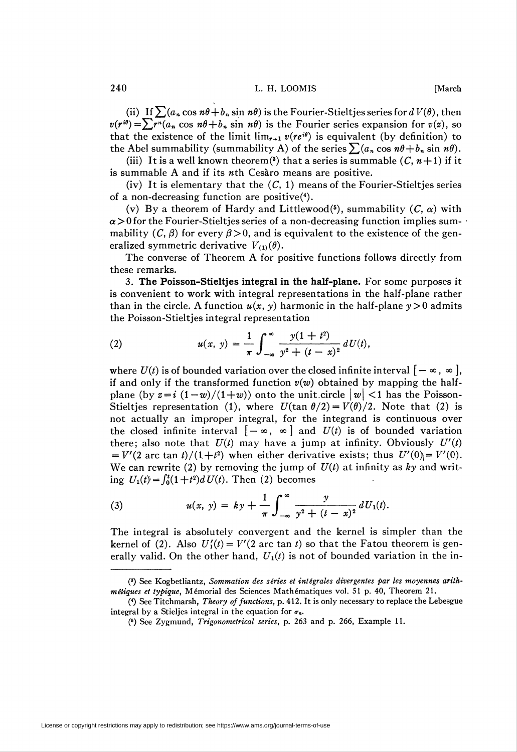240 L. H. LOOMIS [March]

(ii) If  $\sum (a_n \cos n\theta + b_n \sin n\theta)$  is the Fourier-Stieltjes series for  $d V(\theta)$ , then  $v(r^{i\theta}) = \sum r^{n}(a_{n} \cos n\theta + b_{n} \sin n\theta)$  is the Fourier series expansion for  $v(z)$ , so that the existence of the limit  $\lim_{r\to 1} v(re^{i\theta})$  is equivalent (by definition) to the Abel summability (summability A) of the series  $\sum (a_n \cos n\theta + b_n \sin n\theta)$ .

(iii) It is a well known theorem<sup>(3)</sup> that a series is summable  $(C, n+1)$  if it is summable A and if its wth Cesäro means are positive.

(iv) It is elementary that the  $(C, 1)$  means of the Fourier-Stieltjes series of a non-decreasing function are positive(4).

(v) By a theorem of Hardy and Littlewood(5), summability  $(C, \alpha)$  with  $\alpha > 0$  for the Fourier-Stieltjes series of a non-decreasing function implies summability  $(C, \beta)$  for every  $\beta > 0$ , and is equivalent to the existence of the generalized symmetric derivative  $V_{(1)}(\theta)$ .

The converse of Theorem A for positive functions follows directly from these remarks.

3. The Poisson-Stieltjes integral in the half-plane. For some purposes it is convenient to work with integral representations in the half-plane rather than in the circle. A function  $u(x, y)$  harmonic in the half-plane  $y > 0$  admits the Poisson-Stieltjes integral representation

(2) 
$$
u(x, y) = \frac{1}{\pi} \int_{-\infty}^{\infty} \frac{y(1+t^2)}{y^2 + (t-x)^2} dU(t),
$$

where  $U(t)$  is of bounded variation over the closed infinite interval  $[-\infty, \infty]$ , if and only if the transformed function  $v(w)$  obtained by mapping the halfplane (by  $z = i (1-w)/(1+w)$ ) onto the unit circle  $|w| < 1$  has the Poisson-Stieltjes representation (1), where  $U(\tan \theta/2) = V(\theta)/2$ . Note that (2) is not actually an improper integral, for the integrand is continuous over the closed infinite interval  $[-\infty, \infty]$  and  $U(t)$  is of bounded variation there; also note that  $U(t)$  may have a jump at infinity. Obviously  $U'(t)$ =  $V'(2 \text{ arc } \tan t)/(1+t^2)$  when either derivative exists; thus  $U'(0)$  =  $V'(0)$ . We can rewrite (2) by removing the jump of  $U(t)$  at infinity as ky and writing  $U_1(t) = \int_0^t (1+t^2) dU(t)$ . Then (2) becomes

(3) 
$$
u(x, y) = ky + \frac{1}{\pi} \int_{-\infty}^{\infty} \frac{y}{y^2 + (t - x)^2} dU_1(t).
$$

The integral is absolutely convergent and the kernel is simpler than the kernel of (2). Also  $U_1'(t) = V'(2 \text{ arc tan } t)$  so that the Fatou theorem is generally valid. On the other hand,  $U_1(t)$  is not of bounded variation in the in-

<sup>(3)</sup> See Kogbetliantz, Sommation des siries et integrales divergentes par les moyennes arithmétiques et typique, Mémorial des Sciences Mathématiques vol. 51 p. 40, Theorem 21.

<sup>(\*)</sup> See Titchmarsh, Theory of functions, p. 412. It is only necessary to replace the Lebesgue integral by a Stieljes integral in the equation for  $\sigma_n$ .

<sup>(5)</sup> See Zygmund, Trigonometrical series, p. 263 and p. 266, Example 11.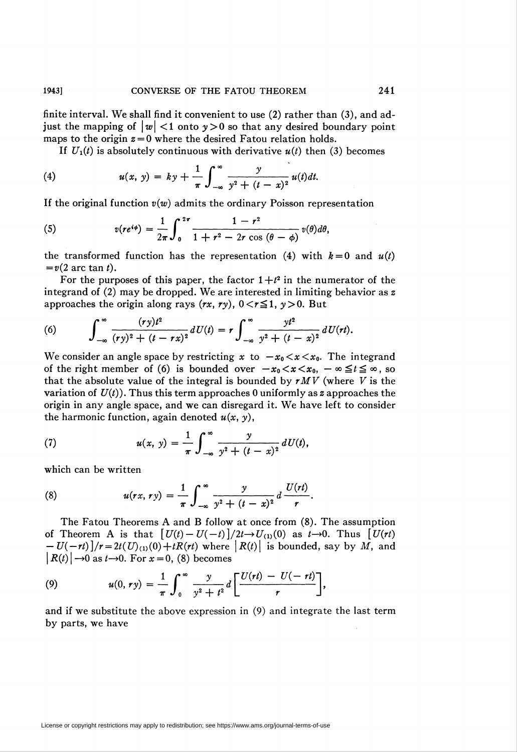finite interval. We shall find it convenient to use (2) rather than (3), and adjust the mapping of  $\left|w\right| < 1$  onto  $y > 0$  so that any desired boundary point maps to the origin  $z = 0$  where the desired Fatou relation holds.

If  $U_1(t)$  is absolutely continuous with derivative  $u(t)$  then (3) becomes

(4) 
$$
u(x, y) = ky + \frac{1}{\pi} \int_{-\infty}^{\infty} \frac{y}{y^2 + (t - x)^2} u(t) dt.
$$

If the original function  $v(w)$  admits the ordinary Poisson representation

(5) 
$$
v(re^{i\phi}) = \frac{1}{2\pi} \int_0^{2\pi} \frac{1-r^2}{1+r^2-2r\cos(\theta-\phi)} v(\theta) d\theta,
$$

the transformed function has the representation (4) with  $k = 0$  and  $u(t)$  $= v(2 \text{ arc } \tan t).$ 

For the purposes of this paper, the factor  $1+t^2$  in the numerator of the integrand of (2) may be dropped. We are interested in limiting behavior as z approaches the origin along rays  $(rx, ry), 0 < r \le 1, y>0$ . But

(6) 
$$
\int_{-\infty}^{\infty} \frac{(ry)t^2}{(ry)^2 + (t - rx)^2} dU(t) = r \int_{-\infty}^{\infty} \frac{yt^2}{y^2 + (t - x)^2} dU(rt).
$$

We consider an angle space by restricting x to  $-x_0 < x < x_0$ . The integrand of the right member of (6) is bounded over  $-x_0 < x < x_0$ ,  $-\infty \le t \le \infty$ , so that the absolute value of the integral is bounded by  $rMV$  (where V is the variation of  $U(t)$ ). Thus this term approaches 0 uniformly as z approaches the origin in any angle space, and we can disregard it. We have left to consider the harmonic function, again denoted  $u(x, y)$ ,

(7) 
$$
u(x, y) = \frac{1}{\pi} \int_{-\infty}^{\infty} \frac{y}{y^2 + (t - x)^2} dU(t),
$$

which can be written

(8) 
$$
u(rx, ry) = \frac{1}{\pi} \int_{-\infty}^{\infty} \frac{y}{y^2 + (t - x)^2} d \frac{U(rt)}{r}.
$$

The Fatou Theorems A and B follow at once from (8). The assumption of Theorem A is that  $[U(t)-U(-t)]/2t\rightarrow U_{(1)}(0)$  as  $t\rightarrow 0$ . Thus  $[U(\tau)]$  $-U(-rt)\left[\frac{r+2t(U)}{U(0)}\right]+tR(rt)$  where  $\left|R(t)\right|$  is bounded, say by M, and  $|R(t)| \rightarrow 0$  as  $t \rightarrow 0$ . For  $x = 0$ , (8) becomes

(9) 
$$
u(0, r y) = \frac{1}{\pi} \int_0^{\infty} \frac{y}{y^2 + t^2} d \left[ \frac{U(r t) - U(-r t)}{r} \right],
$$

and if we substitute the above expression in (9) and integrate the last term by parts, we have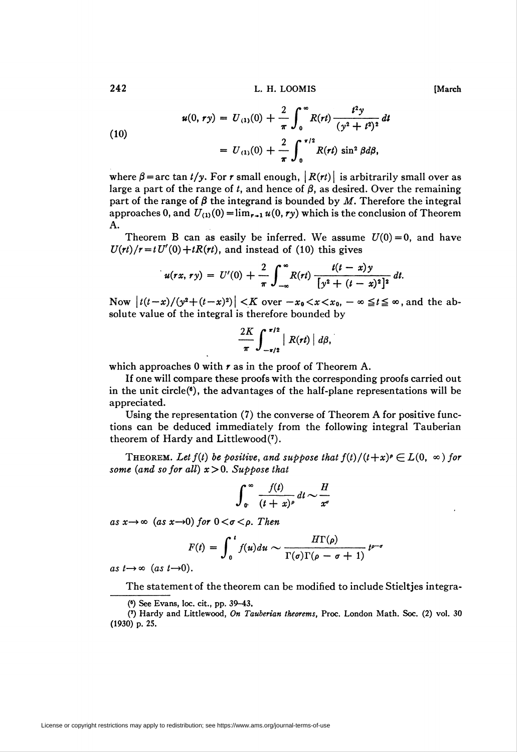242 L. H. LOOM IS [March]

(10)  

$$
u(0, r y) = U_{(1)}(0) + \frac{2}{\pi} \int_0^{\infty} R(rt) \frac{t^2 y}{(y^2 + t^2)^2} dt
$$

$$
= U_{(1)}(0) + \frac{2}{\pi} \int_0^{\pi/2} R(rt) \sin^2 \beta d\beta,
$$

where  $\beta$  = arc tan t/y. For r small enough,  $|R(rt)|$  is arbitrarily small over as large a part of the range of t, and hence of  $\beta$ , as desired. Over the remaining part of the range of  $\beta$  the integrand is bounded by M. Therefore the integral approaches 0, and  $U_{(1)}(0) = \lim_{r \to 1} u(0, ry)$  which is the conclusion of Theorem A.

Theorem B can as easily be inferred. We assume  $U(0) = 0$ , and have  $U(rt)/r = tU'(0) + tR(rt)$ , and instead of (10) this gives

$$
u(rx, ry) = U'(0) + \frac{2}{\pi} \int_{-\infty}^{\infty} R(rt) \frac{t(t-x)y}{[y^2 + (t-x)^2]^2} dt.
$$

Now  $\left| t(t-x)/(y^2+(t-x)^2) \right| < K$  over  $-x_0 < x < x_0$ ,  $-\infty \le t \le \infty$ , and the absolute value of the integral is therefore bounded by

$$
\frac{2K}{\pi}\int_{-\pi/2}^{\pi/2} |R(rt)| d\beta,
$$

which approaches 0 with  $r$  as in the proof of Theorem A.

If one will compare these proofs with the corresponding proofs carried out in the unit circle $(6)$ , the advantages of the half-plane representations will be appreciated.

Using the representation (7) the converse of Theorem A for positive functions can be deduced immediately from the following integral Tauberian theorem of Hardy and Littlewood(7).

THEOREM. Let  $f(t)$  be positive, and suppose that  $f(t)/(t+x)^{\rho} \in L(0, \infty)$  for some (and so for all)  $x>0$ . Suppose that

$$
\int_0^\infty \frac{f(t)}{(t+x)^\rho} dt \sim \frac{H}{x^\sigma}
$$

as  $x \rightarrow \infty$  (as  $x \rightarrow 0$ ) for  $0 < \sigma < \rho$ . Then

$$
F(t) = \int_0^t f(u) du \sim \frac{H\Gamma(\rho)}{\Gamma(\sigma)\Gamma(\rho - \sigma + 1)} t^{\rho - \sigma}
$$

as  $t \rightarrow \infty$  (as  $t \rightarrow 0$ ).

The statement of the theorem can be modified to include Stieltjes integra-

<sup>(6)</sup> See Evans, loc. cit., pp. 39-43.

<sup>(7)</sup> Hardy and Littlewood, On Tauberian theorems, Proc. London Math. Soc. (2) vol. 30 (1930) p. 25.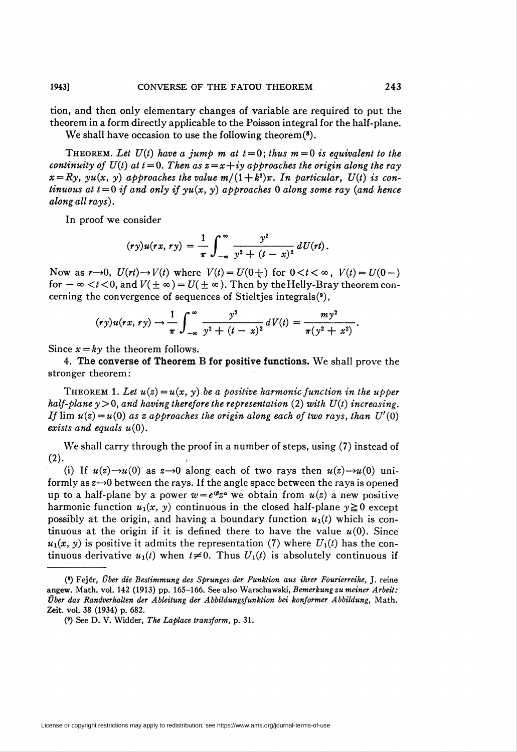tion, and then only elementary changes of variable are required to put the theorem in a form directly applicable to the Poisson integral for the half-plane. We shall have occasion to use the following theorem  $(*)$ .

THEOREM. Let  $U(t)$  have a jump m at  $t = 0$ ; thus  $m = 0$  is equivalent to the continuity of  $U(t)$  at  $t = 0$ . Then as  $z = x + iy$  approaches the origin along the ray  $x=Ry$ , yu(x, y) approaches the value  $m/(1+k^2)\pi$ . In particular,  $U(t)$  is continuous at  $t = 0$  if and only if  $yu(x, y)$  approaches 0 along some ray (and hence along all rays).

In proof we consider

$$
(ry)u(rx, ry) = \frac{1}{\pi}\int_{-\infty}^{\infty}\frac{y^2}{y^2+(t-x)^2} dU(rt).
$$

Now as  $r\rightarrow 0$ ,  $U(rt)\rightarrow V(t)$  where  $V(t) = U(0+)$  for  $0 < t < \infty$ ,  $V(t) = U(0-)$ for  $-\infty < t < 0$ , and  $V(\pm \infty) = U(\pm \infty)$ . Then by the Helly-Bray theorem concerning the convergence of sequences of Stieltjes integrals(9),

$$
(ry)u(rx, ry) \rightarrow \frac{1}{\pi} \int_{-\infty}^{\infty} \frac{y^2}{y^2 + (t - x)^2} dV(t) = \frac{my^2}{\pi(y^2 + x^2)}.
$$

Since  $x = ky$  the theorem follows.

4. The converse of Theorem B for positive functions. We shall prove the stronger theorem:

THEOREM 1. Let  $u(z) = u(x, y)$  be a positive harmonic function in the upper half-plane  $y > 0$ , and having therefore the representation (2) with  $U(t)$  increasing. If  $\lim u(z) = u(0)$  as z approaches the origin along each of two rays, than  $U'(0)$ exists and equals  $u(0)$ .

We shall carry through the proof in a number of steps, using (7) instead of  $(2)$ .

(i) If  $u(z) \rightarrow u(0)$  as  $z \rightarrow 0$  along each of two rays then  $u(z) \rightarrow u(0)$  uniformly as  $z\rightarrow 0$  between the rays. If the angle space between the rays is opened up to a half-plane by a power  $w = e^{i\beta z^{\alpha}}$  we obtain from  $u(z)$  a new positive harmonic function  $u_1(x, y)$  continuous in the closed half-plane  $y \ge 0$  except possibly at the origin, and having a boundary function  $u_1(t)$  which is continuous at the origin if it is defined there to have the value  $u(0)$ . Since  $u_1(x, y)$  is positive it admits the representation (7) where  $U_1(t)$  has the continuous derivative  $u_1(t)$  when  $t\neq 0$ . Thus  $U_1(t)$  is absolutely continuous if

<sup>(8)</sup> Fejer, Über die Bestimmung des Sprunges der Funktion aus ihrer Fourierreihe, J. reine angew. Math. vol. 142 (1913) pp. 165—166. See also Warschawski, Bemerkung zu meiner Arbeit: Über das Randverhalten der Ableitung der Abbildungsfunktion bei konformer Abbildung, Math. Zeit. vol. 38 (1934) p. 682.

<sup>(9)</sup> See D. V. Widder, The Laplace transform, p. 31.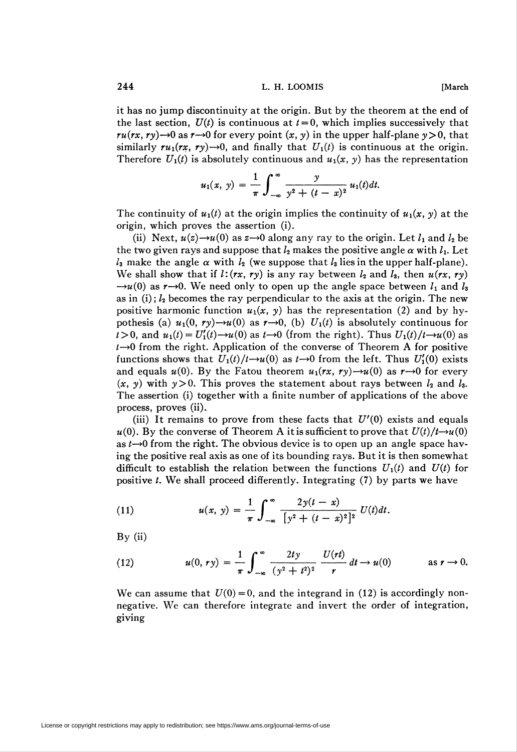244 **L. H. LOOMIS Example 1244 COMIS** 

it has no jump discontinuity at the origin. But by the theorem at the end of the last section,  $U(t)$  is continuous at  $t = 0$ , which implies successively that  $ru(rx, ry) \rightarrow 0$  as  $r \rightarrow 0$  for every point  $(x, y)$  in the upper half-plane  $y > 0$ , that similarly  $ru_1(rx, ry) \rightarrow 0$ , and finally that  $U_1(t)$  is continuous at the origin. Therefore  $U_1(t)$  is absolutely continuous and  $u_1(x, y)$  has the representation

$$
u_1(x, y) = \frac{1}{\pi} \int_{-\infty}^{\infty} \frac{y}{y^2 + (t - x)^2} u_1(t) dt.
$$

The continuity of  $u_1(t)$  at the origin implies the continuity of  $u_1(x, y)$  at the origin, which proves the assertion (i).

(ii) Next,  $u(z) \rightarrow u(0)$  as  $z \rightarrow 0$  along any ray to the origin. Let  $l_1$  and  $l_2$  be the two given rays and suppose that  $l_2$  makes the positive angle  $\alpha$  with  $l_1$ . Let  $l_3$  make the angle  $\alpha$  with  $l_2$  (we suppose that  $l_3$  lies in the upper half-plane). We shall show that if  $l:(rx, ry)$  is any ray between  $l_2$  and  $l_3$ , then  $u(rx, ry)$  $\rightarrow u(0)$  as r $\rightarrow 0$ . We need only to open up the angle space between  $l_1$  and  $l_3$ as in (i);  $l_2$  becomes the ray perpendicular to the axis at the origin. The new positive harmonic function  $u_1(x, y)$  has the representation (2) and by hypothesis (a)  $u_1(0, r\gamma) \rightarrow u(0)$  as  $r \rightarrow 0$ , (b)  $U_1(t)$  is absolutely continuous for  $t > 0$ , and  $u_1(t) = U'_1(t) \rightarrow u(0)$  as  $t \rightarrow 0$  (from the right). Thus  $U_1(t)/t \rightarrow u(0)$  as  $t\rightarrow 0$  from the right. Application of the converse of Theorem A for positive functions shows that  $U_1(t)/t\rightarrow u(0)$  as  $t\rightarrow 0$  from the left. Thus  $U'_1(0)$  exists and equals  $u(0)$ . By the Fatou theorem  $u_1(rx, ry) \rightarrow u(0)$  as  $r \rightarrow 0$  for every  $(x, y)$  with  $y>0$ . This proves the statement about rays between  $l_2$  and  $l_3$ . The assertion (i) together with a finite number of applications of the above process, proves (ii).

(iii) It remains to prove from these facts that  $U'(0)$  exists and equals  $u(0)$ . By the converse of Theorem A it is sufficient to prove that  $U(t)/t\rightarrow u(0)$ as  $t\rightarrow 0$  from the right. The obvious device is to open up an angle space having the positive real axis as one of its bounding rays. But it is then somewhat difficult to establish the relation between the functions  $U_1(t)$  and  $U(t)$  for positive  $t$ . We shall proceed differently. Integrating  $(7)$  by parts we have

(11) 
$$
u(x, y) = \frac{1}{\pi} \int_{-\infty}^{\infty} \frac{2y(t-x)}{[y^2 + (t-x)^2]^2} U(t) dt.
$$

 $By (ii)$ 

(12) 
$$
u(0, r y) = \frac{1}{\pi} \int_{-\infty}^{\infty} \frac{2 t y}{(y^2 + t^2)^2} \frac{U(r t)}{r} dt \to u(0) \quad \text{as } r \to 0.
$$

We can assume that  $U(0)=0$ , and the integrand in (12) is accordingly nonnegative. We can therefore integrate and invert the order of integration, giving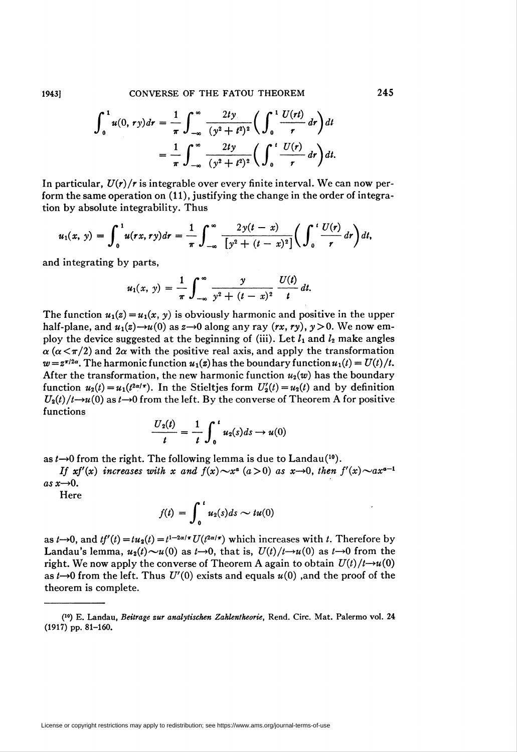1943] CONVERSE OF THE FATOU THEOREM 245

$$
\int_0^1 u(0,ry)dr = \frac{1}{\pi} \int_{-\infty}^{\infty} \frac{2ty}{(y^2+t^2)^2} \bigg( \int_0^1 \frac{U(rt)}{r} dr \bigg) dt
$$
  
=  $\frac{1}{\pi} \int_{-\infty}^{\infty} \frac{2ty}{(y^2+t^2)^2} \bigg( \int_0^1 \frac{U(r)}{r} dr \bigg) dt.$ 

In particular,  $U(r)/r$  is integrable over every finite interval. We can now perform the same operation on (11), justifying the change in the order of integration by absolute integrability. Thus

$$
u_1(x, y) = \int_0^1 u(rx, ry) dr = \frac{1}{\pi} \int_{-\infty}^{\infty} \frac{2y(t-x)}{[y^2 + (t-x)^2]} \bigg( \int_0^t \frac{U(r)}{r} dr \bigg) dt,
$$

and integrating by parts,

$$
u_1(x, y) = \frac{1}{\pi} \int_{-\infty}^{\infty} \frac{y}{y^2 + (t - x)^2} \frac{U(t)}{t} dt.
$$

The function  $u_1(z) = u_1(x, y)$  is obviously harmonic and positive in the upper half-plane, and  $u_1(z) \rightarrow u(0)$  as  $z \rightarrow 0$  along any ray  $(rx, ry)$ ,  $y > 0$ . We now employ the device suggested at the beginning of (iii). Let  $l_1$  and  $l_2$  make angles  $\alpha$  ( $\alpha < \pi/2$ ) and  $2\alpha$  with the positive real axis, and apply the transformation  $w = z^{\pi/2\alpha}$ . The harmonic function  $u_1(z)$  has the boundary function  $u_1(t) = U(t)/t$ . After the transformation, the new harmonic function  $u_2(w)$  has the boundary function  $u_2(t) = u_1(t^{2\alpha/\tau})$ . In the Stieltjes form  $U_2'(t) = u_2(t)$  and by definition  $U_2(t)/t\rightarrow u(0)$  as  $t\rightarrow 0$  from the left. By the converse of Theorem A for positive functions

$$
\frac{U_2(t)}{t} = \frac{1}{t} \int_0^t u_2(s) ds \rightarrow u(0)
$$

as  $t\rightarrow 0$  from the right. The following lemma is due to Landau<sup>(10</sup>).

If  $xf'(x)$  increases with x and  $f(x) \sim x^a$  ( $a > 0$ ) as  $x \to 0$ , then  $f'(x) \sim a x^{a-1}$ as  $x \rightarrow 0$ .

Here

$$
f(t) = \int_0^t u_2(s) ds \sim tu(0)
$$

as  $t\rightarrow 0$ , and  $tf'(t) = tu_2(t) = t^{1-2\alpha/\pi} U(t^{2\alpha/\pi})$  which increases with t. Therefore by Landau's lemma,  $u_2(t) \sim u(0)$  as  $t \to 0$ , that is,  $U(t)/t \to u(0)$  as  $t \to 0$  from the right. We now apply the converse of Theorem A again to obtain  $U(t)/t\rightarrow u(0)$ as  $t\rightarrow 0$  from the left. Thus  $U'(0)$  exists and equals  $u(0)$ , and the proof of the theorem is complete.

<sup>(10)</sup> E. Landau, Beilrage zur analytischen Zahlentheorie, Rend. Circ. Mat. Palermo vol. 24 (1917) pp. 81-160.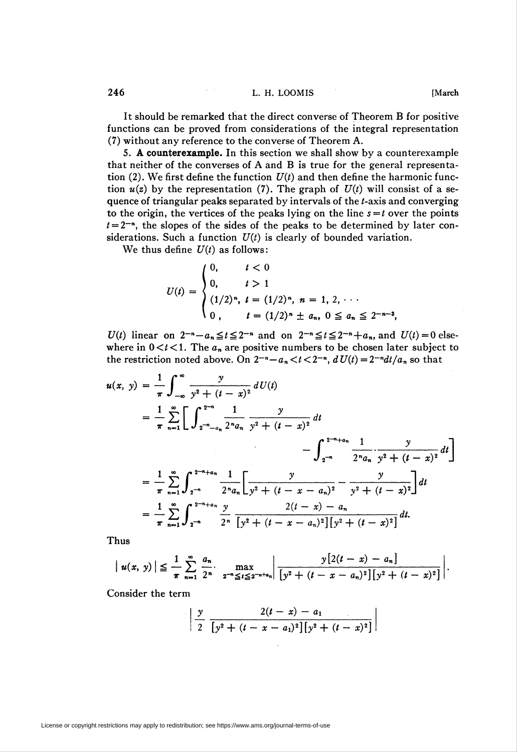It should be remarked that the direct converse of Theorem B for positive functions can be proved from considerations of the integral representation (7) without any reference to the converse of Theorem A.

5. A counterexample. In this section we shall show by a counterexample that neither of the converses of A and B is true for the general representation (2). We first define the function  $U(t)$  and then define the harmonic function  $u(z)$  by the representation (7). The graph of  $U(t)$  will consist of a sequence of triangular peaks separated by intervals of the *t*-axis and converging to the origin, the vertices of the peaks lying on the line  $s=t$  over the points  $t = 2^{-n}$ , the slopes of the sides of the peaks to be determined by later considerations. Such a function  $U(t)$  is clearly of bounded variation.

We thus define  $U(t)$  as follows:

$$
U(t) = \begin{cases} 0, & t < 0 \\ 0, & t > 1 \\ (1/2)^n, & t = (1/2)^n, \ n = 1, \ 2, \ \cdots \\ 0, & t = (1/2)^n \pm a_n, \ 0 \le a_n \le 2^{-n-3}, \end{cases}
$$

 $U(t)$  linear on  $2^{-n}-a_n\le t\le 2^{-n}$  and on  $2^{-n}\le t\le 2^{-n}+a_n$ , and  $U(t)=0$  elsewhere in  $0 < t < 1$ . The  $a_n$  are positive numbers to be chosen later subject to the restriction noted above. On  $2^{-n}-a_n < t < 2^{-n}$ ,  $dU(t) = 2^{-n}dt/a_n$  so that

$$
u(x, y) = \frac{1}{\pi} \int_{-\infty}^{\infty} \frac{y}{y^2 + (t - x)^2} dU(t)
$$
  
\n
$$
= \frac{1}{\pi} \sum_{n=1}^{\infty} \left[ \int_{2^{-n} - a_n}^{2^{-n}} \frac{1}{2^n a_n} \frac{y}{y^2 + (t - x)^2} dt - \int_{2^{-n}}^{2^{-n} + a_n} \frac{1}{2^n a_n} \frac{y}{y^2 + (t - x)^2} dt \right]
$$
  
\n
$$
= \frac{1}{\pi} \sum_{n=1}^{\infty} \int_{2^{-n}}^{2^{-n} + a_n} \frac{1}{2^n a_n} \left[ \frac{y}{y^2 + (t - x - a_n)^2} - \frac{y}{y^2 + (t - x)^2} \right] dt
$$
  
\n
$$
= \frac{1}{\pi} \sum_{n=1}^{\infty} \int_{2^{-n}}^{2^{-n} + a_n} \frac{y}{2^n} \frac{2(t - x) - a_n}{[y^2 + (t - x - a_n)^2][y^2 + (t - x)^2]} dt.
$$

Thus

$$
|u(x, y)| \leq \frac{1}{\pi} \sum_{n=1}^{\infty} \frac{a_n}{2^n} \cdot \max_{2^{-n} \leq t \leq 2^{-n+a_n}} \left| \frac{y[2(t-x) - a_n]}{[y^2 + (t-x-a_n)^2][y^2 + (t-x)^2]} \right|.
$$

Consider the term

$$
\left|\frac{y}{2}\frac{2(t-x)-a_1}{[y^2+(t-x-a_1)^2][y^2+(t-x)^2]}\right|
$$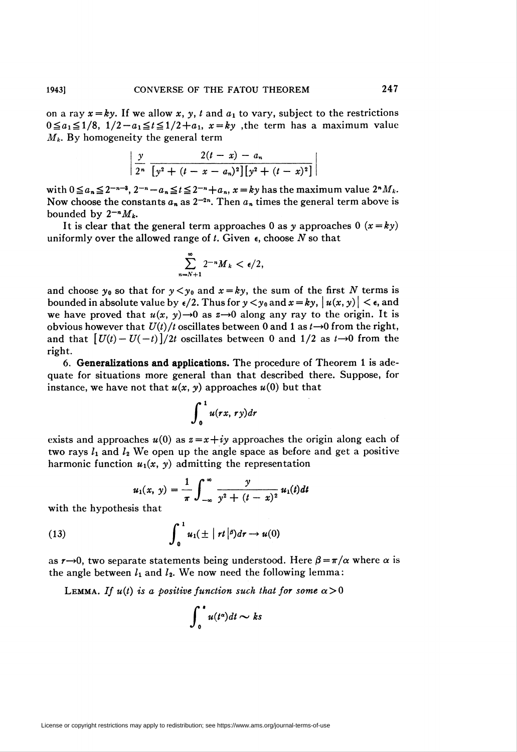on a ray  $x = ky$ . If we allow x, y, t and  $a_1$  to vary, subject to the restrictions  $0 \le a_1 \le 1/8$ ,  $1/2-a_1 \le t \le 1/2+a_1$ ,  $x = ky$ , the term has a maximum value  $M_k$ . By homogeneity the general term

$$
\frac{y}{2^n} \frac{2(t-x)-a_n}{[y^2+(t-x-a_n)^2][y^2+(t-x)^2]}
$$

with  $0 \le a_n \le 2^{-n-3}$ ,  $2^{-n}-a_n \le t \le 2^{-n}+a_n$ ,  $x = ky$  has the maximum value  $2^nM_k$ . Now choose the constants  $a_n$  as  $2^{-2n}$ . Then  $a_n$  times the general term above is bounded by  $2^{-n}M_k$ .

It is clear that the general term approaches 0 as y approaches 0  $(x = ky)$ uniformly over the allowed range of  $t$ . Given  $\epsilon$ , choose  $N$  so that

$$
\sum_{n=N+1}^{\infty} 2^{-n} M_k < \epsilon/2,
$$

and choose  $y_0$  so that for  $y < y_0$  and  $x = ky$ , the sum of the first N terms is bounded in absolute value by  $\epsilon/2$ . Thus for  $y < y_0$  and  $x = ky$ ,  $\left| u(x, y) \right| < \epsilon$ , and we have proved that  $u(x, y) \rightarrow 0$  as  $z \rightarrow 0$  along any ray to the origin. It is obvious however that  $U(t)/t$  oscillates between 0 and 1 as  $t\rightarrow 0$  from the right, and that  $[U(t)-U(-t)]/2t$  oscillates between 0 and  $1/2$  as  $t\rightarrow 0$  from the right.

6. Generalizations and applications. The procedure of Theorem 1 is adequate for situations more general than that described there. Suppose, for instance, we have not that  $u(x, y)$  approaches  $u(0)$  but that

$$
\int_0^1 u(rx, ry) \, dt
$$

exists and approaches  $u(0)$  as  $z=x+iy$  approaches the origin along each of two rays  $l_1$  and  $l_2$  We open up the angle space as before and get a positive harmonic function  $u_1(x, y)$  admitting the representation

$$
u_1(x, y) = \frac{1}{\pi} \int_{-\infty}^{\infty} \frac{y}{y^2 + (t - x)^2} u_1(t) dt
$$

with the hypothesis that

(13) 
$$
\int_0^1 u_1(\pm |rt|^{\beta}) dr \rightarrow u(0)
$$

as  $r\rightarrow 0$ , two separate statements being understood. Here  $\beta = \pi/\alpha$  where  $\alpha$  is the angle between  $l_1$  and  $l_2$ . We now need the following lemma:

LEMMA. If  $u(t)$  is a positive function such that for some  $\alpha > 0$ 

$$
\int_0^{\bullet} u(t^{\alpha})dt \sim ks
$$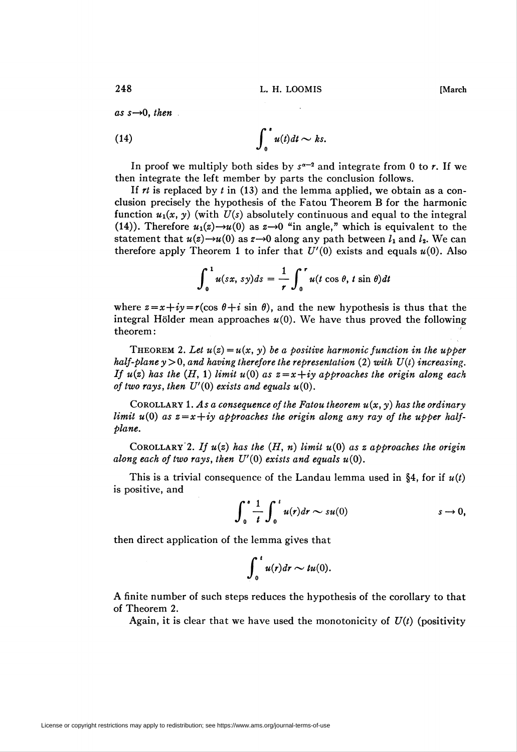as  $s \rightarrow 0$ , then

(14) 
$$
\int_0^s u(t)dt \sim ks.
$$

In proof we multiply both sides by  $s^{\alpha-2}$  and integrate from 0 to r. If we then integrate the left member by parts the conclusion follows.

If  $rt$  is replaced by  $t$  in (13) and the lemma applied, we obtain as a conclusion precisely the hypothesis of the Fatou Theorem B for the harmonic function  $u_1(x, y)$  (with  $U(s)$  absolutely continuous and equal to the integral (14)). Therefore  $u_1(z) \rightarrow u(0)$  as  $z \rightarrow 0$  "in angle," which is equivalent to the statement that  $u(z) \rightarrow u(0)$  as  $z \rightarrow 0$  along any path between  $l_1$  and  $l_2$ . We can therefore apply Theorem 1 to infer that  $U'(0)$  exists and equals  $u(0)$ . Also

$$
\int_0^1 u(sx, s y) ds = \frac{1}{r} \int_0^r u(t \cos \theta, t \sin \theta) dt
$$

where  $z = x + iy = r(\cos \theta + i \sin \theta)$ , and the new hypothesis is thus that the integral Hölder mean approaches  $u(0)$ . We have thus proved the following theorem:

THEOREM 2. Let  $u(z) = u(x, y)$  be a positive harmonic function in the upper half-plane  $y > 0$ , and having therefore the representation (2) with  $U(t)$  increasing. If  $u(z)$  has the (H, 1) limit  $u(0)$  as  $z=x+iy$  approaches the origin along each of two rays, then  $U'(0)$  exists and equals  $u(0)$ .

COROLLARY 1. As a consequence of the Fatou theorem  $u(x, y)$  has the ordinary limit  $u(0)$  as  $z=x+iy$  approaches the origin along any ray of the upper halfplane.

COROLLARY 2. If  $u(z)$  has the  $(H, n)$  limit  $u(0)$  as z approaches the origin along each of two rays, then  $U'(0)$  exists and equals  $u(0)$ .

This is a trivial consequence of the Landau lemma used in §4, for if  $u(t)$ is positive, and

$$
\int_0^s \frac{1}{t} \int_0^t u(r) dr \sim su(0) \qquad s \to 0,
$$

then direct application of the lemma gives that

$$
\int_0^t u(r) dr \sim tu(0).
$$

A finite number of such steps reduces the hypothesis of the corollary to that of Theorem 2.

Again, it is clear that we have used the monotonicity of  $U(t)$  (positivity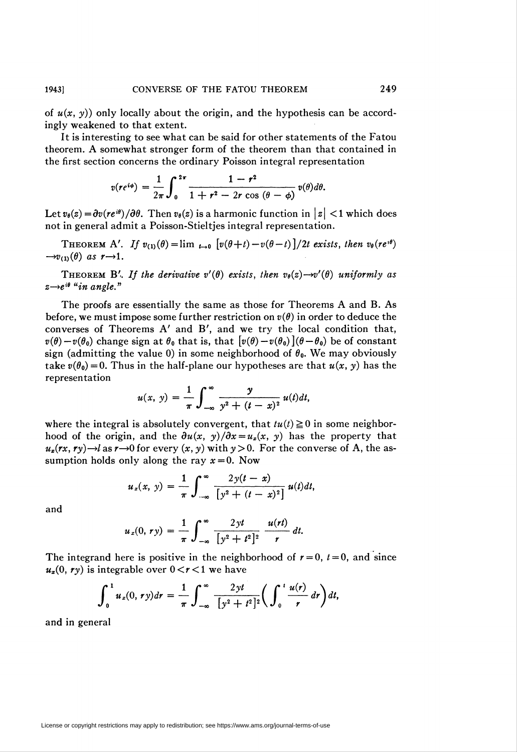of  $u(x, y)$  only locally about the origin, and the hypothesis can be accordingly weakened to that extent.

It is interesting to see what can be said for other statements of the Fatou theorem. A somewhat stronger form of the theorem than that contained in the first section concerns the ordinary Poisson integral representation

$$
v(re^{i\phi})=\frac{1}{2\pi}\int_0^{2\pi}\frac{1-r^2}{1+r^2-2r\cos(\theta-\phi)}v(\theta)d\theta.
$$

Let  $v_{\theta}(z) = \partial v(re^{i\theta})/\partial \theta$ . Then  $v_{\theta}(z)$  is a harmonic function in  $|z| < 1$  which does not in general admit a Poisson-Stieltjes integral representation.

THEOREM A'. If  $v_{(1)}(\theta) = \lim_{t\to 0} \left[ v(\theta+t)-v(\theta-t) \right] / 2t$  exists, then  $v_{\theta}(re^{i\theta})$  $\rightarrow v_{(1)}(\theta)$  as  $r \rightarrow 1$ .

THEOREM B'. If the derivative  $v'(\theta)$  exists, then  $v_{\theta}(z) \rightarrow v'(\theta)$  uniformly as  $z\rightarrow e^{i\theta}$  "in angle."

The proofs are essentially the same as those for Theorems A and B. As before, we must impose some further restriction on  $v(\theta)$  in order to deduce the converses of Theorems A' and B', and we try the local condition that,  $v(\theta) - v(\theta_0)$  change sign at  $\theta_0$  that is, that  $[v(\theta) - v(\theta_0)](\theta - \theta_0)$  be of constant sign (admitting the value 0) in some neighborhood of  $\theta_0$ . We may obviously take  $v(\theta_0) = 0$ . Thus in the half-plane our hypotheses are that  $u(x, y)$  has the /representation

$$
u(x, y) = \frac{1}{\pi} \int_{-\infty}^{\infty} \frac{y}{y^2 + (t - x)^2} u(t) dt,
$$

where the integral is absolutely convergent, that  $tu(t) \ge 0$  in some neighborhood of the origin, and the  $\frac{\partial u(x, y)}{\partial x} = u_x(x, y)$  has the property that  $u_x$ (rx, ry) $\rightarrow$ l as r $\rightarrow$ 0 for every (x, y) with y > 0. For the converse of A, the assumption holds only along the ray  $x = 0$ . Now

$$
u_x(x, y) = \frac{1}{\pi} \int_{-\infty}^{\infty} \frac{2y(t - x)}{[y^2 + (t - x)^2]} u(t) dt,
$$

and

$$
u_x(0, r y) = \frac{1}{\pi} \int_{-\infty}^{\infty} \frac{2y t}{[y^2 + t^2]^2} \frac{u(rt)}{r} dt.
$$

The integrand here is positive in the neighborhood of  $r = 0$ ,  $t = 0$ , and since  $u_x(0, r_y)$  is integrable over  $0 < r < 1$  we have

$$
\int_0^1 u_x(0,ry)dr = \frac{1}{\pi}\int_{-\infty}^{\infty}\frac{2yt}{[y^2+t^2]^2}\bigg(\int_0^t\frac{u(r)}{r}dr\bigg)dt,
$$

and in general